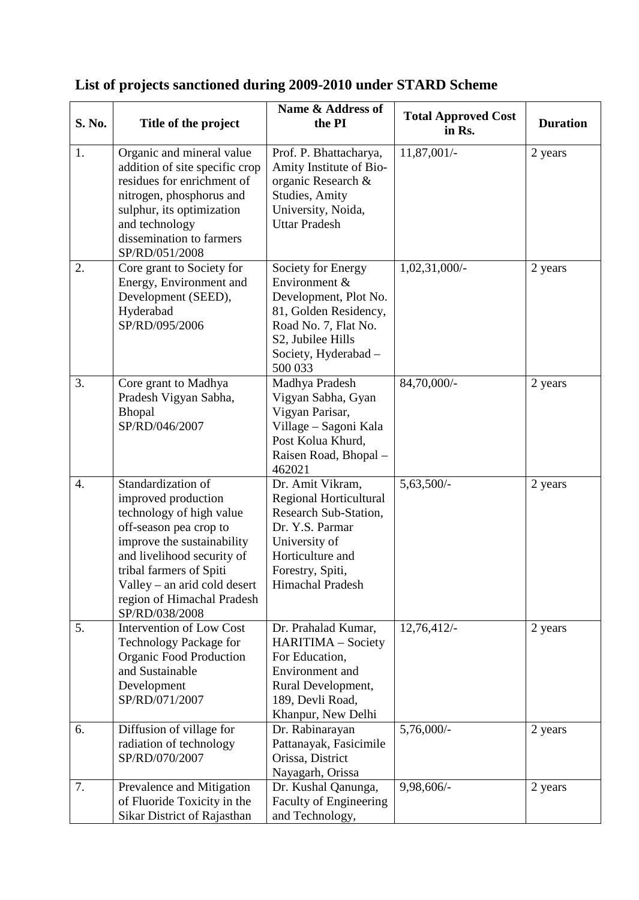| S. No.           | Title of the project                                                                                                                                                                                                                                                   | Name & Address of<br>the PI                                                                                                                                           | <b>Total Approved Cost</b><br>in Rs. | <b>Duration</b> |
|------------------|------------------------------------------------------------------------------------------------------------------------------------------------------------------------------------------------------------------------------------------------------------------------|-----------------------------------------------------------------------------------------------------------------------------------------------------------------------|--------------------------------------|-----------------|
| 1.               | Organic and mineral value<br>addition of site specific crop<br>residues for enrichment of<br>nitrogen, phosphorus and<br>sulphur, its optimization<br>and technology<br>dissemination to farmers<br>SP/RD/051/2008                                                     | Prof. P. Bhattacharya,<br>Amity Institute of Bio-<br>organic Research &<br><b>Studies, Amity</b><br>University, Noida,<br><b>Uttar Pradesh</b>                        | 11,87,001/-                          | 2 years         |
| 2.               | Core grant to Society for<br>Energy, Environment and<br>Development (SEED),<br>Hyderabad<br>SP/RD/095/2006                                                                                                                                                             | Society for Energy<br>Environment &<br>Development, Plot No.<br>81, Golden Residency,<br>Road No. 7, Flat No.<br>S2, Jubilee Hills<br>Society, Hyderabad -<br>500 033 | $1,02,31,000/$ -                     | 2 years         |
| 3.               | Core grant to Madhya<br>Pradesh Vigyan Sabha,<br><b>Bhopal</b><br>SP/RD/046/2007                                                                                                                                                                                       | Madhya Pradesh<br>Vigyan Sabha, Gyan<br>Vigyan Parisar,<br>Village - Sagoni Kala<br>Post Kolua Khurd,<br>Raisen Road, Bhopal -<br>462021                              | 84,70,000/-                          | 2 years         |
| $\overline{4}$ . | Standardization of<br>improved production<br>technology of high value<br>off-season pea crop to<br>improve the sustainability<br>and livelihood security of<br>tribal farmers of Spiti<br>Valley – an arid cold desert<br>region of Himachal Pradesh<br>SP/RD/038/2008 | Dr. Amit Vikram,<br>Regional Horticultural<br>Research Sub-Station,<br>Dr. Y.S. Parmar<br>University of<br>Horticulture and<br>Forestry, Spiti,<br>Himachal Pradesh   | $5,63,500/-$                         | 2 years         |
| 5.               | <b>Intervention of Low Cost</b><br>Technology Package for<br><b>Organic Food Production</b><br>and Sustainable<br>Development<br>SP/RD/071/2007                                                                                                                        | Dr. Prahalad Kumar,<br>HARITIMA - Society<br>For Education,<br>Environment and<br>Rural Development,<br>189, Devli Road,<br>Khanpur, New Delhi                        | 12,76,412/                           | 2 years         |
| 6.               | Diffusion of village for<br>radiation of technology<br>SP/RD/070/2007                                                                                                                                                                                                  | Dr. Rabinarayan<br>Pattanayak, Fasicimile<br>Orissa, District<br>Nayagarh, Orissa                                                                                     | $5,76,000/-$                         | 2 years         |
| 7.               | Prevalence and Mitigation<br>of Fluoride Toxicity in the<br>Sikar District of Rajasthan                                                                                                                                                                                | Dr. Kushal Qanunga,<br><b>Faculty of Engineering</b><br>and Technology,                                                                                               | 9,98,606/-                           | 2 years         |

## **List of projects sanctioned during 2009-2010 under STARD Scheme**